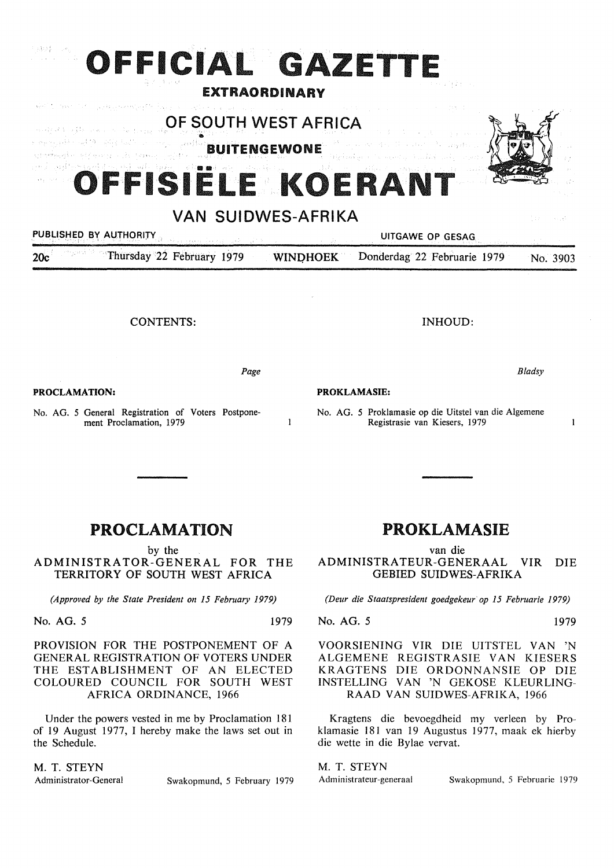## $\{X\}$ **OFFICIAL GAZETTE**

## EXTRAORDINARY

OF SOUTH WEST AFRICA

الهيابة وللغف فتلقب بالأوريناس **JITENGEWONE** د لوبسته و بر

.<br>การเจ้าสังคม เป็นเพราะครับ เราเป็นโรค

# وأقولهن

# **FFISIELE KOERAN**

## VAN SUIDWES-AFRIKA

 $\mathbf{1}$ 

## PUBLISHED BY AUTHORITY ... UITGAWE OP GESAG

20c Thursday 22 February 1979 WINDHOEK Donderdag 22 Februarie 1979 No. 3903

CONTENTS:

*Page* 

**PROCLAMATION:** 

No. AG. 5 General Registration of Voters Postponement Proclamation, 1979

## INHOUD:

*Bladsy* 

## **PROKLAMASIE:**

No. AG. 5 Proklamasie op die Uitstel van die Algemene Registrasie van Kiesers, 1979

## PROCLAMATION

by the

ADMINISTRATOR-GENERAL FOR THE TERRITORY OF SOUTH WEST AFRICA

*(Approved by the State President on 15 February 1979)* 

No. AG. *5* 1979

## PROVISION FOR THE POSTPONEMENT OF A GENERAL REGISTRATION OF VOTERS UNDER THE ESTABLISHMENT OF AN ELECTED COLOURED COUNCIL FOR SOUTH WEST AFRICA ORDINANCE, 1966

Under the powers vested in me by Proclamation 181 of 19 August 1977, I hereby make the laws set out in the Schedule.

## M. T. STEYN

Administrator-General Swakopmund, 5 February 1979

## PROKLAMASIE

van die ADMINISTRATEUR-GENERAAL VIR DIE GEBIED SUIDWES-AFRIKA

*(Deur die Staatspresident goedgekeur op 15 Februarie 1979)* 

No. AG. *5* 1979

 $\mathbf{1}$ 

VOORSIENING VIR DIE UITSTEL VAN 'N ALGEMENE REGISTRASIE VAN KIESERS KRAGTENS DIE ORDONNANSIE OP DIE INSTELLING VAN 'N GEKOSE KLEURLING-**RAAD VAN SUIDWES-AFRIKA,** 1966

Kragtens die bevoegdheid my verleen by Proklamasie 181 van 19 Augustus 1977, maak ek hierby die wette in die Bylae vervat.

M. T. STEYN

Administrateur-generaal Swakopmund, 5 Februarie 1979